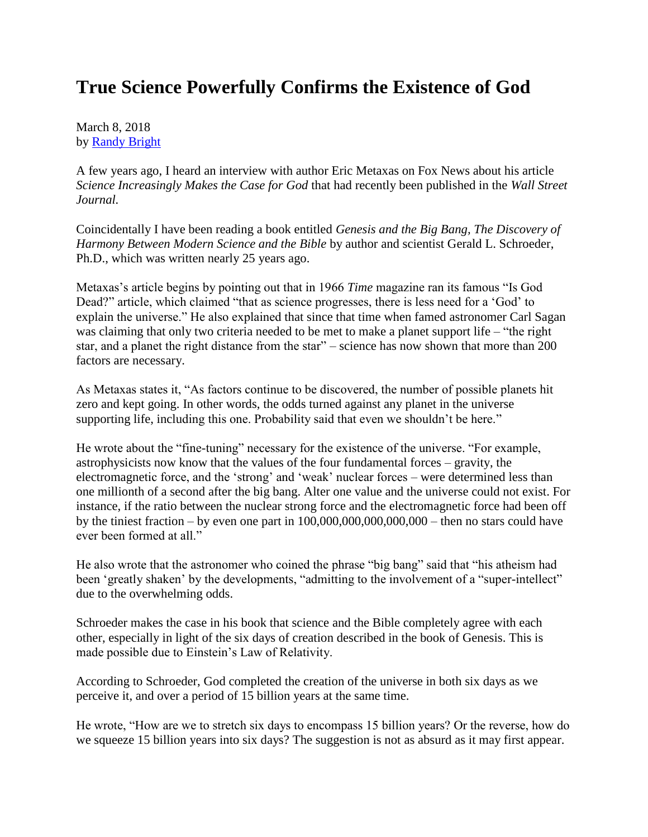## **True Science Powerfully Confirms the Existence of God**

March 8, 2018 by [Randy Bright](http://tulsabeacon.com/writers/randy-bright/)

A few years ago, I heard an interview with author Eric Metaxas on Fox News about his article *Science Increasingly Makes the Case for God* that had recently been published in the *Wall Street Journal.*

Coincidentally I have been reading a book entitled *Genesis and the Big Bang, The Discovery of Harmony Between Modern Science and the Bible* by author and scientist Gerald L. Schroeder, Ph.D., which was written nearly 25 years ago.

Metaxas's article begins by pointing out that in 1966 *Time* magazine ran its famous "Is God Dead?" article, which claimed "that as science progresses, there is less need for a 'God' to explain the universe." He also explained that since that time when famed astronomer Carl Sagan was claiming that only two criteria needed to be met to make a planet support life – "the right" star, and a planet the right distance from the star" – science has now shown that more than 200 factors are necessary.

As Metaxas states it, "As factors continue to be discovered, the number of possible planets hit zero and kept going. In other words, the odds turned against any planet in the universe supporting life, including this one. Probability said that even we shouldn't be here."

He wrote about the "fine-tuning" necessary for the existence of the universe. "For example, astrophysicists now know that the values of the four fundamental forces – gravity, the electromagnetic force, and the 'strong' and 'weak' nuclear forces – were determined less than one millionth of a second after the big bang. Alter one value and the universe could not exist. For instance, if the ratio between the nuclear strong force and the electromagnetic force had been off by the tiniest fraction – by even one part in  $100,000,000,000,000,000$  – then no stars could have ever been formed at all."

He also wrote that the astronomer who coined the phrase "big bang" said that "his atheism had been 'greatly shaken' by the developments, "admitting to the involvement of a "super-intellect" due to the overwhelming odds.

Schroeder makes the case in his book that science and the Bible completely agree with each other, especially in light of the six days of creation described in the book of Genesis. This is made possible due to Einstein's Law of Relativity.

According to Schroeder, God completed the creation of the universe in both six days as we perceive it, and over a period of 15 billion years at the same time.

He wrote, "How are we to stretch six days to encompass 15 billion years? Or the reverse, how do we squeeze 15 billion years into six days? The suggestion is not as absurd as it may first appear.